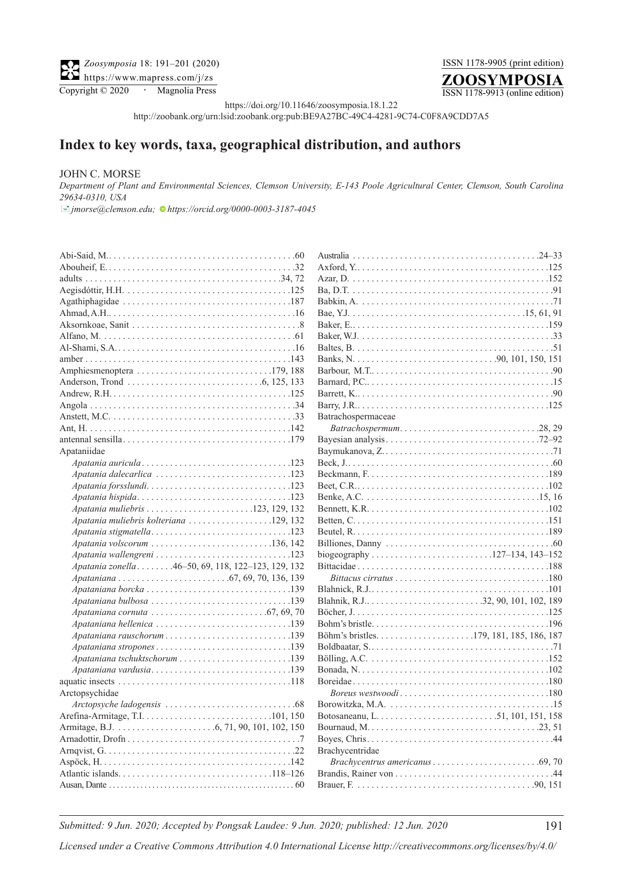## ISSN 1178-9905 (print edition)



ISSN 1178-9913 (online edition)

https://doi.org/10.11646/zoosymposia.18.1.22

http://zoobank.org/urn:lsid:zoobank.org:pub:BE9A27BC-49C4-4281-9C74-C0F8A9CDD7A5

## **Index to key words, taxa, geographical distribution, and authors**

## JOHN C. MORSE

*Department of Plant and Environmental Sciences, Clemson University, E-143 Poole Agricultural Center, Clemson, South Carolina 29634-0310, USA*

[�](mailto:jmorse@clemson.edu)*jmorse@clemson.edu; [h](https://orcid.org/0000-0003-3187-4045)ttps://orcid.org/0000-0003-3187-4045*

| $Aegisdot\{ur}, H.H. \ldots \ldots \ldots \ldots \ldots \ldots \ldots \ldots \ldots \ldots \ldots 125$<br>Amphiesmenoptera 179, 188<br>Anderson, Trond $\dots \dots \dots \dots \dots \dots \dots \dots \dots \dots \dots \dots$ 6, 125, 133<br>Apataniidae<br>Apatania muliebris kolteriana 129, 132<br>Apatania stigmatella123<br>Apatania volscorum 136, 142<br>Apatania zonella 46-50, 69, 118, 122-123, 129, 132<br>Apataniana bulbosa 139<br>Apataniana cornuta $\ldots \ldots \ldots \ldots \ldots \ldots \ldots \ldots$ . 67, 69, 70<br>Apataniana vardusia139<br>Arctopsychidae | Aus            |
|------------------------------------------------------------------------------------------------------------------------------------------------------------------------------------------------------------------------------------------------------------------------------------------------------------------------------------------------------------------------------------------------------------------------------------------------------------------------------------------------------------------------------------------------------------------------------------------|----------------|
|                                                                                                                                                                                                                                                                                                                                                                                                                                                                                                                                                                                          | Axf            |
|                                                                                                                                                                                                                                                                                                                                                                                                                                                                                                                                                                                          | Aza            |
|                                                                                                                                                                                                                                                                                                                                                                                                                                                                                                                                                                                          | Ba,            |
|                                                                                                                                                                                                                                                                                                                                                                                                                                                                                                                                                                                          | Bab            |
|                                                                                                                                                                                                                                                                                                                                                                                                                                                                                                                                                                                          | Bae            |
|                                                                                                                                                                                                                                                                                                                                                                                                                                                                                                                                                                                          | Bak            |
|                                                                                                                                                                                                                                                                                                                                                                                                                                                                                                                                                                                          | Bak            |
|                                                                                                                                                                                                                                                                                                                                                                                                                                                                                                                                                                                          | Balt           |
|                                                                                                                                                                                                                                                                                                                                                                                                                                                                                                                                                                                          | Ban            |
|                                                                                                                                                                                                                                                                                                                                                                                                                                                                                                                                                                                          | Barl           |
|                                                                                                                                                                                                                                                                                                                                                                                                                                                                                                                                                                                          | Barı           |
|                                                                                                                                                                                                                                                                                                                                                                                                                                                                                                                                                                                          | Bar            |
|                                                                                                                                                                                                                                                                                                                                                                                                                                                                                                                                                                                          | Bar            |
|                                                                                                                                                                                                                                                                                                                                                                                                                                                                                                                                                                                          | Batı           |
|                                                                                                                                                                                                                                                                                                                                                                                                                                                                                                                                                                                          | l              |
|                                                                                                                                                                                                                                                                                                                                                                                                                                                                                                                                                                                          | Bay            |
|                                                                                                                                                                                                                                                                                                                                                                                                                                                                                                                                                                                          | Bay            |
|                                                                                                                                                                                                                                                                                                                                                                                                                                                                                                                                                                                          | Bec            |
|                                                                                                                                                                                                                                                                                                                                                                                                                                                                                                                                                                                          | Bec            |
|                                                                                                                                                                                                                                                                                                                                                                                                                                                                                                                                                                                          | Bee            |
|                                                                                                                                                                                                                                                                                                                                                                                                                                                                                                                                                                                          | Ben            |
|                                                                                                                                                                                                                                                                                                                                                                                                                                                                                                                                                                                          | Ben            |
|                                                                                                                                                                                                                                                                                                                                                                                                                                                                                                                                                                                          | <b>Bett</b>    |
|                                                                                                                                                                                                                                                                                                                                                                                                                                                                                                                                                                                          | Beu            |
|                                                                                                                                                                                                                                                                                                                                                                                                                                                                                                                                                                                          | Bill           |
|                                                                                                                                                                                                                                                                                                                                                                                                                                                                                                                                                                                          | biog           |
|                                                                                                                                                                                                                                                                                                                                                                                                                                                                                                                                                                                          | <b>Bitt</b>    |
|                                                                                                                                                                                                                                                                                                                                                                                                                                                                                                                                                                                          | $\overline{I}$ |
|                                                                                                                                                                                                                                                                                                                                                                                                                                                                                                                                                                                          | Blal           |
|                                                                                                                                                                                                                                                                                                                                                                                                                                                                                                                                                                                          | Blal           |
|                                                                                                                                                                                                                                                                                                                                                                                                                                                                                                                                                                                          | Böc            |
|                                                                                                                                                                                                                                                                                                                                                                                                                                                                                                                                                                                          | Boh            |
|                                                                                                                                                                                                                                                                                                                                                                                                                                                                                                                                                                                          | Böh            |
|                                                                                                                                                                                                                                                                                                                                                                                                                                                                                                                                                                                          | Bol            |
|                                                                                                                                                                                                                                                                                                                                                                                                                                                                                                                                                                                          | Böll           |
|                                                                                                                                                                                                                                                                                                                                                                                                                                                                                                                                                                                          | Bon            |
|                                                                                                                                                                                                                                                                                                                                                                                                                                                                                                                                                                                          | Bor            |
|                                                                                                                                                                                                                                                                                                                                                                                                                                                                                                                                                                                          | $\overline{I}$ |
|                                                                                                                                                                                                                                                                                                                                                                                                                                                                                                                                                                                          | Bor            |
|                                                                                                                                                                                                                                                                                                                                                                                                                                                                                                                                                                                          | <b>Bot</b>     |
|                                                                                                                                                                                                                                                                                                                                                                                                                                                                                                                                                                                          | Bou            |
|                                                                                                                                                                                                                                                                                                                                                                                                                                                                                                                                                                                          | Boy            |
|                                                                                                                                                                                                                                                                                                                                                                                                                                                                                                                                                                                          | Bra            |
|                                                                                                                                                                                                                                                                                                                                                                                                                                                                                                                                                                                          | 1              |
|                                                                                                                                                                                                                                                                                                                                                                                                                                                                                                                                                                                          | Brai           |
|                                                                                                                                                                                                                                                                                                                                                                                                                                                                                                                                                                                          | Brat           |

| Batrachospermaceae                                                                                     |
|--------------------------------------------------------------------------------------------------------|
| Batrachospermum28,29                                                                                   |
|                                                                                                        |
|                                                                                                        |
|                                                                                                        |
|                                                                                                        |
|                                                                                                        |
|                                                                                                        |
|                                                                                                        |
|                                                                                                        |
|                                                                                                        |
|                                                                                                        |
| biogeography127-134, 143-152                                                                           |
|                                                                                                        |
| $Bittacus$ cirratus $\ldots \ldots \ldots \ldots \ldots \ldots \ldots \ldots \ldots \ldots \ldots 180$ |
|                                                                                                        |
|                                                                                                        |
|                                                                                                        |
|                                                                                                        |
|                                                                                                        |
|                                                                                                        |
|                                                                                                        |
|                                                                                                        |
|                                                                                                        |
| Boreus westwoodi180                                                                                    |
|                                                                                                        |
|                                                                                                        |
|                                                                                                        |
|                                                                                                        |
| Brachycentridae                                                                                        |
|                                                                                                        |
|                                                                                                        |
|                                                                                                        |

*Submitted: 9 Jun. 2020; Accepted by Pongsak Laudee: 9 Jun. 2020; published: 12 Jun. 2020* 191

*Licensed under a Creative Commons Attribution 4.0 International License http://creativecommons.org/licenses/by/4.0/*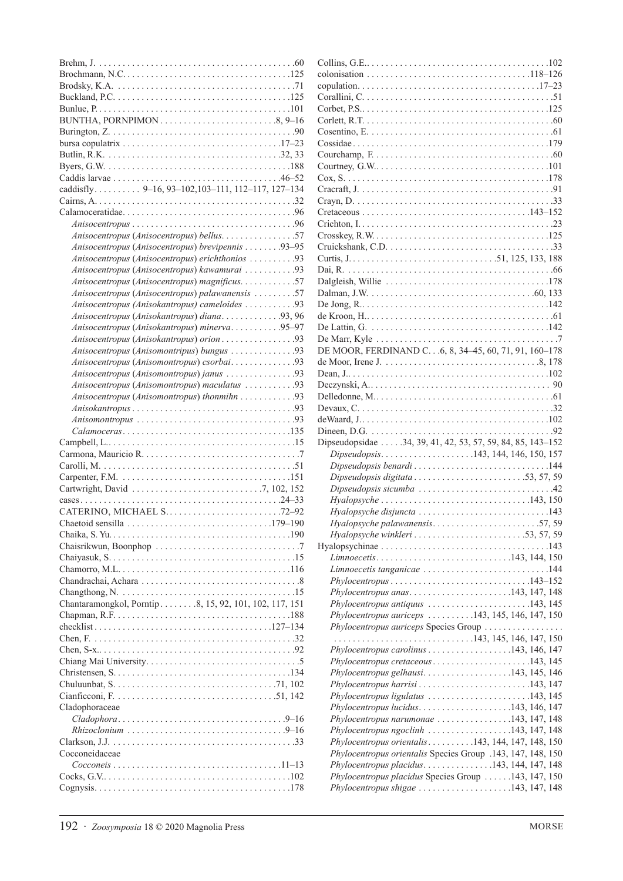| BUNTHA, PORNPIMON8, 9–16                                                                                                             |
|--------------------------------------------------------------------------------------------------------------------------------------|
|                                                                                                                                      |
| bursa copulatrix $\ldots \ldots \ldots \ldots \ldots \ldots \ldots \ldots \ldots \ldots \ldots \ldots 17-23$                         |
|                                                                                                                                      |
|                                                                                                                                      |
| caddisfly 9-16, 93-102, 103-111, 112-117, 127-134                                                                                    |
|                                                                                                                                      |
|                                                                                                                                      |
|                                                                                                                                      |
| Anisocentropus (Anisocentropus) bellus. 57                                                                                           |
| Anisocentropus (Anisocentropus) brevipennis 93-95                                                                                    |
| Anisocentropus (Anisocentropus) erichthonios 93                                                                                      |
| Anisocentropus (Anisocentropus) kawamurai 93                                                                                         |
| Anisocentropus (Anisocentropus) magnificus. 57                                                                                       |
| Anisocentropus (Anisocentropus) palawanensis 57                                                                                      |
| Anisocentropus (Anisokantropus) cameloides 93                                                                                        |
| Anisocentropus (Anisokantropus) diana93, 96                                                                                          |
| Anisocentropus (Anisokantropus) minerva95-97                                                                                         |
| Anisocentropus (Anisokantropus) orion 93                                                                                             |
| Anisocentropus (Anisomontripus) bungus 93                                                                                            |
| Anisocentropus (Anisomontropus) csorbai93                                                                                            |
| Anisocentropus (Anisomontropus) janus 93                                                                                             |
| Anisocentropus (Anisomontropus) maculatus 93                                                                                         |
| Anisocentropus (Anisomontropus) thonmihn 93                                                                                          |
|                                                                                                                                      |
|                                                                                                                                      |
|                                                                                                                                      |
| $Calamoceras \ldots \ldots \ldots \ldots \ldots \ldots \ldots \ldots \ldots \ldots \ldots \ldots 135$                                |
|                                                                                                                                      |
|                                                                                                                                      |
|                                                                                                                                      |
|                                                                                                                                      |
|                                                                                                                                      |
|                                                                                                                                      |
| CATERINO, MICHAEL S72-92<br>Chaetoid sensilla $\ldots \ldots \ldots \ldots \ldots \ldots \ldots \ldots \ldots \ldots \ldots 179-190$ |
|                                                                                                                                      |
|                                                                                                                                      |
|                                                                                                                                      |
|                                                                                                                                      |
|                                                                                                                                      |
|                                                                                                                                      |
| Chantaramongkol, Porntip 8, 15, 92, 101, 102, 117, 151                                                                               |
|                                                                                                                                      |
|                                                                                                                                      |
|                                                                                                                                      |
|                                                                                                                                      |
|                                                                                                                                      |
|                                                                                                                                      |
|                                                                                                                                      |
|                                                                                                                                      |
| Cladophoraceae                                                                                                                       |
|                                                                                                                                      |
|                                                                                                                                      |
|                                                                                                                                      |
| Cocconeidaceae                                                                                                                       |
| $Coccone is \ldots \ldots \ldots \ldots \ldots \ldots \ldots \ldots \ldots \ldots \ldots \ldots \ldots 11-13$                        |

|                                                  | Phylocentropus shigae $\ldots \ldots \ldots \ldots \ldots \ldots 143, 147, 148$ |
|--------------------------------------------------|---------------------------------------------------------------------------------|
|                                                  |                                                                                 |
| 192 · Zoosymposia 18 $\odot$ 2020 Magnolia Press | <b>MORSE</b>                                                                    |

| colonisation $\ldots \ldots \ldots \ldots \ldots \ldots \ldots \ldots \ldots \ldots \ldots \ldots 118-126$ |  |
|------------------------------------------------------------------------------------------------------------|--|
|                                                                                                            |  |
|                                                                                                            |  |
|                                                                                                            |  |
|                                                                                                            |  |
|                                                                                                            |  |
|                                                                                                            |  |
|                                                                                                            |  |
|                                                                                                            |  |
|                                                                                                            |  |
|                                                                                                            |  |
|                                                                                                            |  |
|                                                                                                            |  |
|                                                                                                            |  |
|                                                                                                            |  |
|                                                                                                            |  |
|                                                                                                            |  |
|                                                                                                            |  |
|                                                                                                            |  |
|                                                                                                            |  |
|                                                                                                            |  |
|                                                                                                            |  |
|                                                                                                            |  |
| De Marr, Kyle $\dots \dots \dots \dots \dots \dots \dots \dots \dots \dots \dots \dots \dots$              |  |
| DE MOOR, FERDINAND C. 6, 8, 34-45, 60, 71, 91, 160-178                                                     |  |
|                                                                                                            |  |
|                                                                                                            |  |
|                                                                                                            |  |
|                                                                                                            |  |
| Devaux, $C_1, \ldots, C_n, \ldots, C_n$                                                                    |  |
|                                                                                                            |  |
|                                                                                                            |  |
|                                                                                                            |  |
| Dipseudopsidae  34, 39, 41, 42, 53, 57, 59, 84, 85, 143-152                                                |  |
| Dipseudopsis143, 144, 146, 150, 157                                                                        |  |
| Dipseudopsis benardi 144                                                                                   |  |
| Dipseudopsis digitata53, 57, 59                                                                            |  |
|                                                                                                            |  |
| $Hyalopsyche \ldots \ldots \ldots \ldots \ldots \ldots \ldots \ldots \ldots \ldots \ldots 143, 150$        |  |
| Hyalopsyche disjuncta 143                                                                                  |  |
| Hyalopsyche palawanensis57,59                                                                              |  |
|                                                                                                            |  |
|                                                                                                            |  |
| Limnoecetis143, 144, 150                                                                                   |  |
| Limnoecetis tanganicae 144                                                                                 |  |
|                                                                                                            |  |
| Phylocentropus anas143, 147, 148                                                                           |  |
| $Phylocentropy$ us antiquus $\ldots \ldots \ldots \ldots \ldots \ldots \ldots 143, 145$                    |  |
| Phylocentropus auriceps 143, 145, 146, 147, 150                                                            |  |
| Phylocentropus auriceps Species Group                                                                      |  |
| $\ldots \ldots \ldots \ldots \ldots \ldots \ldots \ldots \ldots \ldots 143, 145, 146, 147, 150$            |  |
| Phylocentropus carolinus $\ldots \ldots \ldots \ldots \ldots 143, 146, 147$                                |  |
|                                                                                                            |  |
| Phylocentropus gelhausi143, 145, 146                                                                       |  |
| Phylocentropus harrisi143, 147                                                                             |  |
| Phylocentropus ligulatus 143, 145                                                                          |  |
| Phylocentropus lucidus143, 146, 147                                                                        |  |
| Phylocentropus narumonae 143, 147, 148                                                                     |  |
| Phylocentropus ngoclinh $\ldots \ldots \ldots \ldots \ldots 143, 147, 148$                                 |  |
| Phylocentropus orientalis143, 144, 147, 148, 150                                                           |  |
| Phylocentropus orientalis Species Group .143, 147, 148, 150                                                |  |
| Phylocentropus placidus143, 144, 147, 148                                                                  |  |
| Phylocentropus placidus Species Group 143, 147, 150<br>Phylocentropus shigae 143, 147, 148                 |  |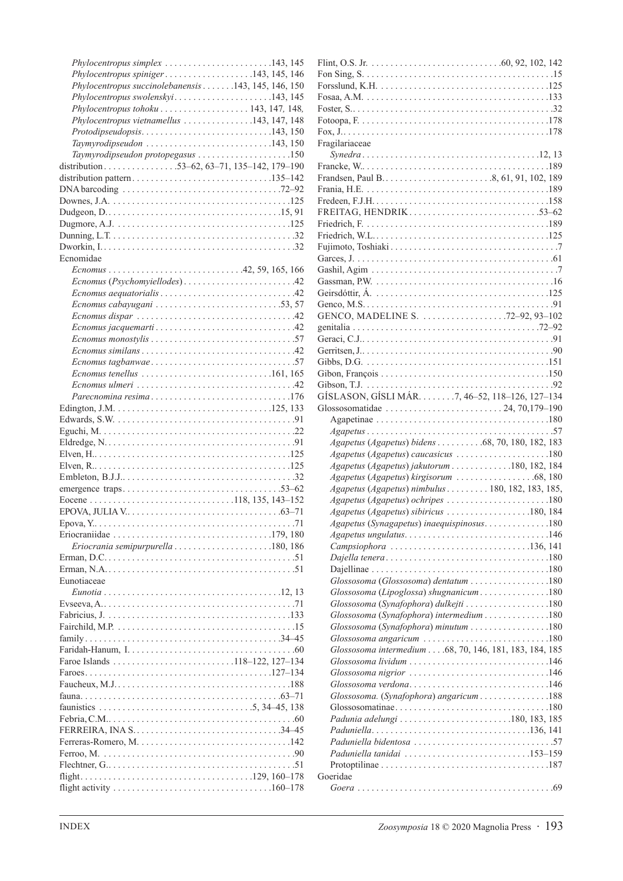| Phylocentropus simplex 143, 145                                                                           |
|-----------------------------------------------------------------------------------------------------------|
| Phylocentropus spiniger143, 145, 146                                                                      |
| Phylocentropus succinolebanensis 143, 145, 146, 150                                                       |
| Phylocentropus swolenskyi143, 145                                                                         |
| Phylocentropus tohoku 143, 147, 148,                                                                      |
| Phylocentropus vietnamellus 143, 147, 148                                                                 |
| Protodipseudopsis143, 150                                                                                 |
| $Taylor$ odipseudon $\ldots \ldots \ldots \ldots \ldots \ldots \ldots \ldots \ldots 143, 150$             |
| Taymyrodipseudon protopegasus 150                                                                         |
| distribution53–62, 63–71, 135–142, 179–190                                                                |
|                                                                                                           |
| DNA barcoding $\ldots \ldots \ldots \ldots \ldots \ldots \ldots \ldots \ldots \ldots \ldots \ldots$ 72–92 |
|                                                                                                           |
|                                                                                                           |
|                                                                                                           |
|                                                                                                           |
|                                                                                                           |
| Ecnomidae                                                                                                 |
| $E{\text{c}nomus \dots \dots \dots \dots \dots \dots \dots \dots \dots 42, 59, 165, 166}$                 |
| Ecnomus (Psychomyiellodes)42                                                                              |
|                                                                                                           |
| Ecnomus cabayugani 53,57                                                                                  |
|                                                                                                           |
|                                                                                                           |
|                                                                                                           |
|                                                                                                           |
|                                                                                                           |
| Ecnomus tenellus $\dots\dots\dots\dots\dots\dots\dots\dots\dots\dots161, 165$                             |
| $E$ cnomus ulmeri $\ldots \ldots \ldots \ldots \ldots \ldots \ldots \ldots \ldots$ .                      |
| Parecnomina resima176                                                                                     |
|                                                                                                           |
|                                                                                                           |
|                                                                                                           |
|                                                                                                           |
|                                                                                                           |
|                                                                                                           |
|                                                                                                           |
|                                                                                                           |
|                                                                                                           |
|                                                                                                           |
| EPOVA, JULIA V $\dots$ . $\dots$ . $\dots$ . $\dots$ . $\dots$ . $\dots$ . $63-71$                        |
| Epova, Y<br>71                                                                                            |
|                                                                                                           |
|                                                                                                           |
|                                                                                                           |
|                                                                                                           |
| Eunotiaceae                                                                                               |
|                                                                                                           |
|                                                                                                           |
|                                                                                                           |
|                                                                                                           |
|                                                                                                           |
|                                                                                                           |
| Faroe Islands 118-122, 127-134                                                                            |
|                                                                                                           |
|                                                                                                           |
|                                                                                                           |
|                                                                                                           |
|                                                                                                           |
|                                                                                                           |
|                                                                                                           |
|                                                                                                           |
|                                                                                                           |

| Fragilariaceae                                                                     |
|------------------------------------------------------------------------------------|
|                                                                                    |
|                                                                                    |
|                                                                                    |
|                                                                                    |
|                                                                                    |
|                                                                                    |
| FREITAG, HENDRIK53-62                                                              |
|                                                                                    |
|                                                                                    |
|                                                                                    |
|                                                                                    |
|                                                                                    |
|                                                                                    |
|                                                                                    |
|                                                                                    |
|                                                                                    |
|                                                                                    |
|                                                                                    |
|                                                                                    |
|                                                                                    |
|                                                                                    |
|                                                                                    |
|                                                                                    |
| GÍSLASON, GÍSLI MÁR. 7, 46–52, 118–126, 127–134                                    |
|                                                                                    |
|                                                                                    |
|                                                                                    |
|                                                                                    |
|                                                                                    |
| Agapetus (Agapetus) bidens 68, 70, 180, 182, 183                                   |
| Agapetus (Agapetus) caucasicus 180                                                 |
| Agapetus (Agapetus) jakutorum 180, 182, 184                                        |
|                                                                                    |
|                                                                                    |
| Agapetus (Agapetus) nimbulus 180, 182, 183, 185,                                   |
| Agapetus (Agapetus) ochripes 180                                                   |
| Agapetus (Agapetus) sibiricus 180, 184                                             |
| Agapetus (Synagapetus) inaequispinosus180                                          |
|                                                                                    |
| Campsiophora 136, 141                                                              |
|                                                                                    |
|                                                                                    |
| Glossosoma (Glossosoma) dentatum 180                                               |
| Glossosoma (Lipoglossa) shugnanicum 180                                            |
|                                                                                    |
| Glossosoma (Synafophora) dulkejti 180                                              |
| Glossosoma (Synafophora) intermedium 180                                           |
| Glossosoma (Synafophora) minutum 180                                               |
| Glossosoma angaricum $\ldots \ldots \ldots \ldots \ldots \ldots \ldots \ldots 180$ |
| Glossosoma intermedium 68, 70, 146, 181, 183, 184, 185                             |
|                                                                                    |
| Glossosoma nigrior 146                                                             |
|                                                                                    |
| Glossosoma. (Synafophora) angaricum 188                                            |
|                                                                                    |
|                                                                                    |
|                                                                                    |
|                                                                                    |
|                                                                                    |
| Paduniella tanidai 153–159                                                         |
|                                                                                    |
| Goeridae                                                                           |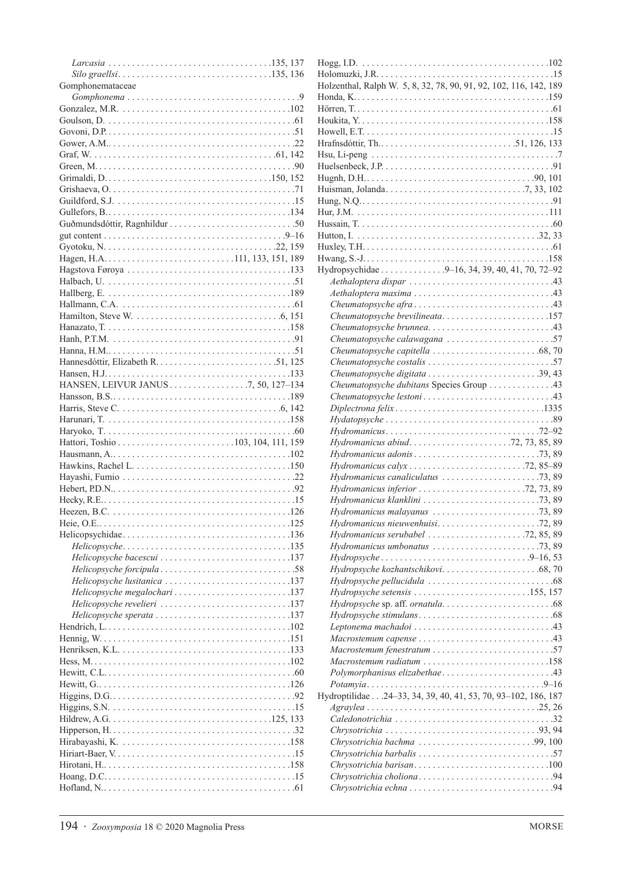| Gomphonemataceae                                                                          |
|-------------------------------------------------------------------------------------------|
|                                                                                           |
|                                                                                           |
|                                                                                           |
|                                                                                           |
|                                                                                           |
|                                                                                           |
|                                                                                           |
|                                                                                           |
|                                                                                           |
|                                                                                           |
|                                                                                           |
|                                                                                           |
|                                                                                           |
|                                                                                           |
|                                                                                           |
|                                                                                           |
|                                                                                           |
|                                                                                           |
|                                                                                           |
|                                                                                           |
|                                                                                           |
|                                                                                           |
|                                                                                           |
|                                                                                           |
|                                                                                           |
|                                                                                           |
|                                                                                           |
|                                                                                           |
|                                                                                           |
|                                                                                           |
|                                                                                           |
|                                                                                           |
|                                                                                           |
|                                                                                           |
|                                                                                           |
|                                                                                           |
|                                                                                           |
|                                                                                           |
|                                                                                           |
|                                                                                           |
|                                                                                           |
| Helicopsyche bacescui 137                                                                 |
|                                                                                           |
| Helicopsyche lusitanica 137                                                               |
| Helicopsyche megalochari 137                                                              |
| Helicopsyche revelieri 137                                                                |
| Helicopsyche sperata $\ldots \ldots \ldots \ldots \ldots \ldots \ldots \ldots \ldots 137$ |
|                                                                                           |
|                                                                                           |
|                                                                                           |
|                                                                                           |
|                                                                                           |
|                                                                                           |
|                                                                                           |
|                                                                                           |
|                                                                                           |
|                                                                                           |
|                                                                                           |
|                                                                                           |
|                                                                                           |
|                                                                                           |

| Holzenthal, Ralph W. 5, 8, 32, 78, 90, 91, 92, 102, 116, 142, 189                                        |
|----------------------------------------------------------------------------------------------------------|
|                                                                                                          |
|                                                                                                          |
|                                                                                                          |
|                                                                                                          |
|                                                                                                          |
|                                                                                                          |
|                                                                                                          |
|                                                                                                          |
|                                                                                                          |
|                                                                                                          |
|                                                                                                          |
|                                                                                                          |
|                                                                                                          |
|                                                                                                          |
|                                                                                                          |
|                                                                                                          |
|                                                                                                          |
| Hydropsychidae 9–16, 34, 39, 40, 41, 70, 72–92                                                           |
|                                                                                                          |
|                                                                                                          |
|                                                                                                          |
| Cheumatopsyche brevilineata157                                                                           |
|                                                                                                          |
| Cheumatopsyche calawagana 57                                                                             |
|                                                                                                          |
|                                                                                                          |
|                                                                                                          |
|                                                                                                          |
| Cheumatopsyche dubitans Species Group 43                                                                 |
|                                                                                                          |
|                                                                                                          |
| $Hydatopsysche \ldots \ldots \ldots \ldots \ldots \ldots \ldots \ldots \ldots \ldots \ldots 89$          |
|                                                                                                          |
|                                                                                                          |
|                                                                                                          |
|                                                                                                          |
|                                                                                                          |
| Hydromanicus calyx 72, 85-89                                                                             |
|                                                                                                          |
|                                                                                                          |
| $Hydromanicus$ inferior $\ldots \ldots \ldots \ldots \ldots \ldots \ldots \ldots$ 72, 73, 89             |
|                                                                                                          |
|                                                                                                          |
| Hydromanicus nieuwenhuisi72,89                                                                           |
| Hydromanicus serubabel 72, 85, 89                                                                        |
|                                                                                                          |
| $Hydropsyche \ldots \ldots \ldots \ldots \ldots \ldots \ldots \ldots \ldots \ldots \ldots \ldots \ldots$ |
|                                                                                                          |
|                                                                                                          |
|                                                                                                          |
| Hydropsyche setensis 155, 157                                                                            |
|                                                                                                          |
|                                                                                                          |
|                                                                                                          |
|                                                                                                          |
| Macrostemum fenestratum 57                                                                               |
| Macrostemum radiatum $\ldots \ldots \ldots \ldots \ldots \ldots \ldots \ldots 158$                       |
|                                                                                                          |
| Polymorphanisus elizabethae43                                                                            |
|                                                                                                          |
| Hydroptilidae 24-33, 34, 39, 40, 41, 53, 70, 93-102, 186, 187                                            |
|                                                                                                          |
|                                                                                                          |
|                                                                                                          |
| Chrysotrichia bachma 99, 100                                                                             |
|                                                                                                          |
|                                                                                                          |
| Chrysotrichia barisan100                                                                                 |
|                                                                                                          |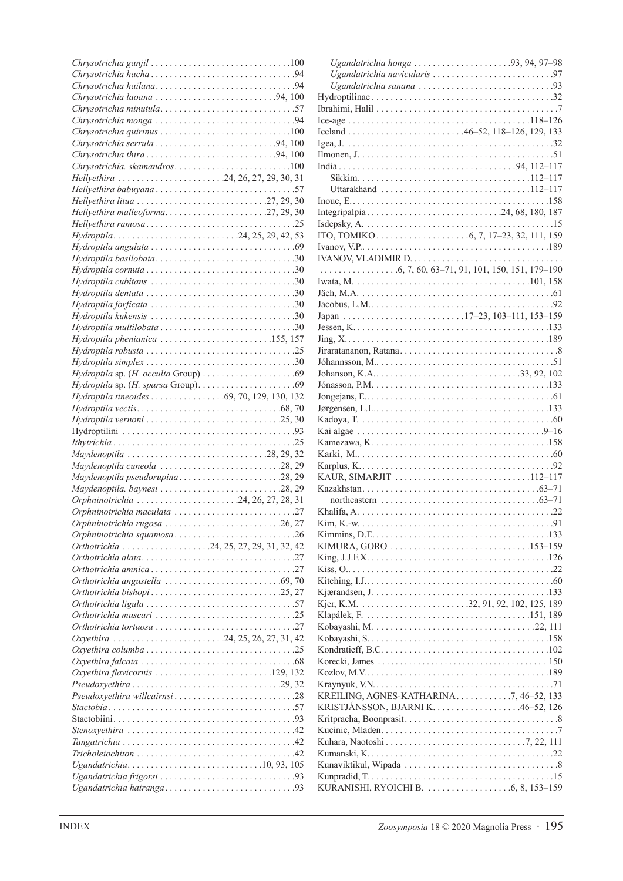| $Chrysotrichia$ quirinus $\ldots \ldots \ldots \ldots \ldots \ldots \ldots \ldots \ldots 100$        |
|------------------------------------------------------------------------------------------------------|
| Chrysotrichia serrula 94, 100                                                                        |
|                                                                                                      |
| Chrysotrichia. skamandros100                                                                         |
| Hellyethira 24, 26, 27, 29, 30, 31                                                                   |
|                                                                                                      |
|                                                                                                      |
| Hellyethira malleoforma27, 29, 30                                                                    |
|                                                                                                      |
| Hydroptila24, 25, 29, 42, 53                                                                         |
|                                                                                                      |
|                                                                                                      |
|                                                                                                      |
|                                                                                                      |
|                                                                                                      |
|                                                                                                      |
| $Hydroptila$ kukensis $\ldots \ldots \ldots \ldots \ldots \ldots \ldots \ldots \ldots \ldots \ldots$ |
|                                                                                                      |
| Hydroptila phenianica 155, 157                                                                       |
|                                                                                                      |
|                                                                                                      |
|                                                                                                      |
|                                                                                                      |
|                                                                                                      |
|                                                                                                      |
|                                                                                                      |
|                                                                                                      |
|                                                                                                      |
|                                                                                                      |
| Maydenoptila 28, 29, 32                                                                              |
| Maydenoptila cuneola 28, 29                                                                          |
| Maydenoptila pseudorupina28, 29                                                                      |
|                                                                                                      |
| Orphninotrichia 24, 26, 27, 28, 31                                                                   |
| Orphninotrichia maculata 27<br>Orphninotrichia rugosa 26, 27                                         |
| Orphninotrichia squamosa26                                                                           |
| Orthotrichia 24, 25, 27, 29, 31, 32, 42                                                              |
|                                                                                                      |
|                                                                                                      |
|                                                                                                      |
|                                                                                                      |
|                                                                                                      |
|                                                                                                      |
|                                                                                                      |
| Oxyethira 24, 25, 26, 27, 31, 42                                                                     |
|                                                                                                      |
|                                                                                                      |
| Oxyethira flavicornis $\ldots \ldots \ldots \ldots \ldots \ldots \ldots \ldots 129, 132$             |
|                                                                                                      |
| Pseudoxyethira willcairnsi28                                                                         |
|                                                                                                      |
|                                                                                                      |
|                                                                                                      |
|                                                                                                      |
|                                                                                                      |
| Ugandatrichia10,93,105                                                                               |
|                                                                                                      |

| Uttarakhand 112-117                                                                     |  |
|-----------------------------------------------------------------------------------------|--|
|                                                                                         |  |
|                                                                                         |  |
|                                                                                         |  |
|                                                                                         |  |
|                                                                                         |  |
|                                                                                         |  |
| $\ldots \ldots \ldots \ldots \ldots 6, 7, 60, 63-71, 91, 101, 150, 151, 179-190$        |  |
|                                                                                         |  |
|                                                                                         |  |
|                                                                                         |  |
| Japan 17-23, 103-111, 153-159                                                           |  |
|                                                                                         |  |
|                                                                                         |  |
|                                                                                         |  |
|                                                                                         |  |
|                                                                                         |  |
|                                                                                         |  |
| Jongejans, $E_1, \ldots, E_n, \ldots, E_n$                                              |  |
|                                                                                         |  |
|                                                                                         |  |
|                                                                                         |  |
|                                                                                         |  |
|                                                                                         |  |
|                                                                                         |  |
| KAUR, SIMARJIT $\ldots \ldots \ldots \ldots \ldots \ldots \ldots \ldots \ldots 112-117$ |  |
|                                                                                         |  |
|                                                                                         |  |
|                                                                                         |  |
|                                                                                         |  |
|                                                                                         |  |
|                                                                                         |  |
|                                                                                         |  |
|                                                                                         |  |
|                                                                                         |  |
|                                                                                         |  |
|                                                                                         |  |
|                                                                                         |  |
|                                                                                         |  |
|                                                                                         |  |
|                                                                                         |  |
|                                                                                         |  |
|                                                                                         |  |
|                                                                                         |  |
| KREILING, AGNES-KATHARINA7, 46–52, 133                                                  |  |
| KRISTJÁNSSON, BJARNI K. 46–52, 126                                                      |  |
|                                                                                         |  |
|                                                                                         |  |
|                                                                                         |  |
|                                                                                         |  |
|                                                                                         |  |
|                                                                                         |  |
|                                                                                         |  |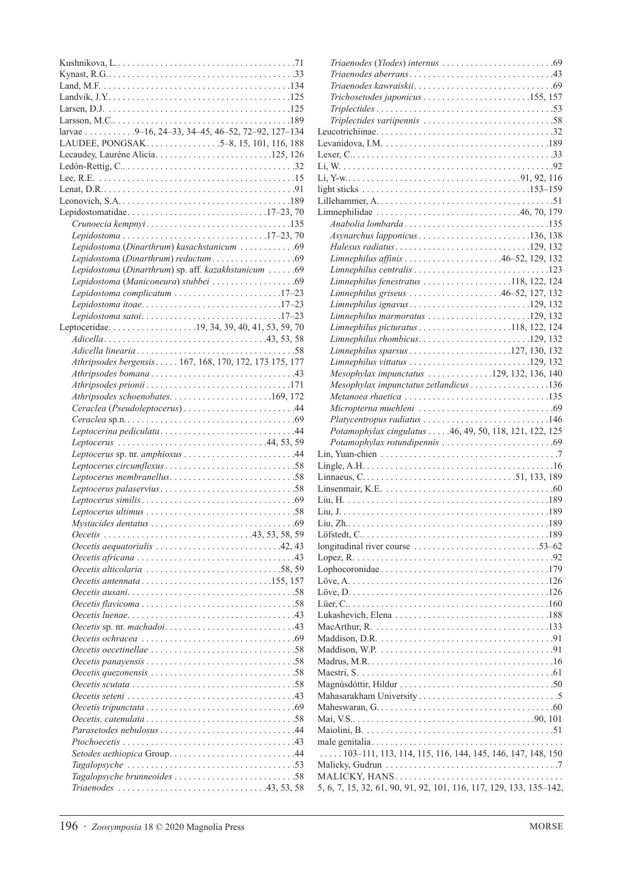| larvae 9-16, 24-33, 34-45, 46-52, 72-92, 127-134                                                              |
|---------------------------------------------------------------------------------------------------------------|
|                                                                                                               |
|                                                                                                               |
|                                                                                                               |
|                                                                                                               |
|                                                                                                               |
|                                                                                                               |
|                                                                                                               |
| Crunoecia kempnyi135                                                                                          |
| Lepidostoma17-23,70                                                                                           |
| Lepidostoma (Dinarthrum) kasachstanicum 69                                                                    |
|                                                                                                               |
| Lepidostoma (Dinarthrum) sp. aff. kazakhstanicum  69                                                          |
|                                                                                                               |
| Lepidostoma complicatum 17-23                                                                                 |
| Lepidostoma itoae17-23                                                                                        |
| Lepidostoma satoi17-23                                                                                        |
| Leptoceridae19, 34, 39, 40, 41, 53, 59, 70                                                                    |
|                                                                                                               |
|                                                                                                               |
| Athripsodes bergensis 167, 168, 170, 172, 173 175, 177                                                        |
|                                                                                                               |
| Athripsodes prionii171                                                                                        |
| Athripsodes schoenobates169, 172                                                                              |
|                                                                                                               |
|                                                                                                               |
|                                                                                                               |
|                                                                                                               |
|                                                                                                               |
|                                                                                                               |
|                                                                                                               |
|                                                                                                               |
|                                                                                                               |
|                                                                                                               |
|                                                                                                               |
|                                                                                                               |
|                                                                                                               |
|                                                                                                               |
| Oecetis antennata155, 157                                                                                     |
|                                                                                                               |
|                                                                                                               |
|                                                                                                               |
|                                                                                                               |
| Oecetis ochracea $\ldots \ldots \ldots \ldots \ldots \ldots \ldots \ldots \ldots$ .                           |
|                                                                                                               |
| Oecetis panayensis $\ldots \ldots \ldots \ldots \ldots \ldots \ldots \ldots \ldots \ldots \ldots$ 58          |
| Oecetis quezonensis $\ldots \ldots \ldots \ldots \ldots \ldots \ldots \ldots \ldots \ldots$                   |
|                                                                                                               |
|                                                                                                               |
|                                                                                                               |
|                                                                                                               |
| Parasetodes nebulosus 44                                                                                      |
|                                                                                                               |
| Setodes aethiopica Group44                                                                                    |
| $Tagalopsysche \ldots \ldots \ldots \ldots \ldots \ldots \ldots \ldots \ldots \ldots \ldots \ldots \ldots 53$ |
|                                                                                                               |
|                                                                                                               |

| $Trichosetodes$ japonicus $\ldots \ldots \ldots \ldots \ldots \ldots \ldots \ldots 155, 157$              |
|-----------------------------------------------------------------------------------------------------------|
|                                                                                                           |
|                                                                                                           |
|                                                                                                           |
|                                                                                                           |
|                                                                                                           |
|                                                                                                           |
|                                                                                                           |
|                                                                                                           |
|                                                                                                           |
|                                                                                                           |
| Anabolia lombarda135                                                                                      |
| $Asynarchus laponicus \ldots \ldots \ldots \ldots \ldots \ldots \ldots \ldots \ldots 136, 138$            |
| Halesus radiatus 129, 132                                                                                 |
| Limnephilus affinis 46-52, 129, 132                                                                       |
|                                                                                                           |
| Limnephilus fenestratus 118, 122, 124                                                                     |
| Limnephilus griseus 46-52, 127, 132                                                                       |
| Limnephilus ignavus129, 132                                                                               |
| Limnephilus marmoratus 129, 132                                                                           |
|                                                                                                           |
| $L$ <i>imnephilus rhombicus.</i> 129, 132                                                                 |
|                                                                                                           |
|                                                                                                           |
| Mesophylax impunctatus 129, 132, 136, 140                                                                 |
| Mesophylax impunctatus zetlandicus 136                                                                    |
| Metanoea rhaetica 135                                                                                     |
|                                                                                                           |
|                                                                                                           |
|                                                                                                           |
|                                                                                                           |
| Potamophylax cingulatus  .46, 49, 50, 118, 121, 122, 125                                                  |
|                                                                                                           |
|                                                                                                           |
|                                                                                                           |
|                                                                                                           |
|                                                                                                           |
|                                                                                                           |
|                                                                                                           |
|                                                                                                           |
|                                                                                                           |
|                                                                                                           |
|                                                                                                           |
|                                                                                                           |
|                                                                                                           |
|                                                                                                           |
|                                                                                                           |
| MacArthur, R. $\ldots \ldots \ldots \ldots \ldots \ldots \ldots \ldots \ldots \ldots \ldots \ldots$ . 133 |
|                                                                                                           |
|                                                                                                           |
|                                                                                                           |
|                                                                                                           |
|                                                                                                           |
|                                                                                                           |
|                                                                                                           |
|                                                                                                           |
|                                                                                                           |
|                                                                                                           |
| $\ldots$ 103-111, 113, 114, 115, 116, 144, 145, 146, 147, 148, 150                                        |
|                                                                                                           |
| 5, 6, 7, 15, 32, 61, 90, 91, 92, 101, 116, 117, 129, 133, 135-142,                                        |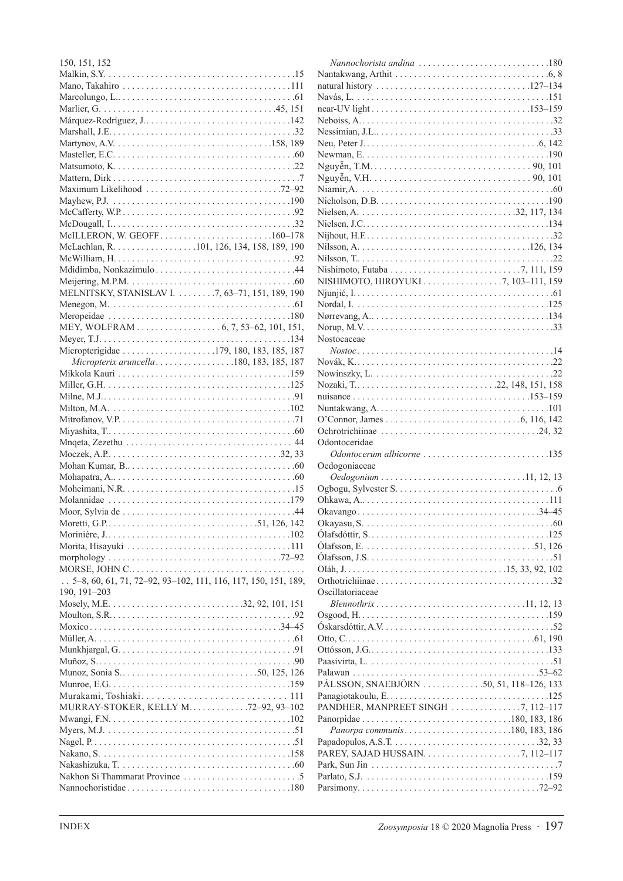| 150, 151, 152                                                    |  |
|------------------------------------------------------------------|--|
|                                                                  |  |
|                                                                  |  |
|                                                                  |  |
|                                                                  |  |
|                                                                  |  |
|                                                                  |  |
|                                                                  |  |
|                                                                  |  |
|                                                                  |  |
|                                                                  |  |
| Maximum Likelihood 72-92                                         |  |
|                                                                  |  |
|                                                                  |  |
|                                                                  |  |
| McILLERON, W. GEOFF160-178                                       |  |
| McLachlan, R. 101, 126, 134, 158, 189, 190                       |  |
|                                                                  |  |
|                                                                  |  |
|                                                                  |  |
| MELNITSKY, STANISLAV I. 7, 63-71, 151, 189, 190                  |  |
|                                                                  |  |
|                                                                  |  |
|                                                                  |  |
|                                                                  |  |
| Micropterigidae 179, 180, 183, 185, 187                          |  |
| Micropterix aruncella180, 183, 185, 187                          |  |
|                                                                  |  |
|                                                                  |  |
|                                                                  |  |
|                                                                  |  |
|                                                                  |  |
|                                                                  |  |
|                                                                  |  |
|                                                                  |  |
|                                                                  |  |
|                                                                  |  |
|                                                                  |  |
|                                                                  |  |
|                                                                  |  |
|                                                                  |  |
|                                                                  |  |
|                                                                  |  |
|                                                                  |  |
|                                                                  |  |
| $.5-8, 60, 61, 71, 72-92, 93-102, 111, 116, 117, 150, 151, 189,$ |  |
| 190, 191-203                                                     |  |
|                                                                  |  |
|                                                                  |  |
|                                                                  |  |
|                                                                  |  |
|                                                                  |  |
|                                                                  |  |
|                                                                  |  |
| Murakami, Toshiaki 111                                           |  |
| MURRAY-STOKER, KELLY M72-92, 93-102                              |  |
|                                                                  |  |
|                                                                  |  |
|                                                                  |  |
|                                                                  |  |
|                                                                  |  |
|                                                                  |  |
|                                                                  |  |
|                                                                  |  |

| Nannochorista andina $\ldots \ldots \ldots \ldots \ldots \ldots \ldots \ldots 180$ |
|------------------------------------------------------------------------------------|
|                                                                                    |
|                                                                                    |
|                                                                                    |
|                                                                                    |
|                                                                                    |
|                                                                                    |
|                                                                                    |
|                                                                                    |
|                                                                                    |
|                                                                                    |
|                                                                                    |
|                                                                                    |
|                                                                                    |
|                                                                                    |
|                                                                                    |
|                                                                                    |
|                                                                                    |
| NISHIMOTO, HIROYUKI 7, 103-111, 159                                                |
|                                                                                    |
|                                                                                    |
|                                                                                    |
|                                                                                    |
| Nostocaceae                                                                        |
|                                                                                    |
|                                                                                    |
|                                                                                    |
|                                                                                    |
|                                                                                    |
|                                                                                    |
|                                                                                    |
|                                                                                    |
|                                                                                    |
| Odontoceridae                                                                      |
| Odontocerum albicorne 135                                                          |
| Oedogoniaceae                                                                      |
|                                                                                    |
|                                                                                    |
|                                                                                    |
|                                                                                    |
|                                                                                    |
|                                                                                    |
|                                                                                    |
|                                                                                    |
|                                                                                    |
|                                                                                    |
| Oscillatoriaceae                                                                   |
|                                                                                    |
|                                                                                    |
|                                                                                    |
|                                                                                    |
|                                                                                    |
|                                                                                    |
| PÁLSSON, SNAEBJÖRN 50, 51, 118–126, 133                                            |
|                                                                                    |
| PANDHER, MANPREET SINGH 7, 112-117                                                 |
|                                                                                    |
| Panorpa communis180, 183, 186                                                      |
|                                                                                    |
|                                                                                    |
|                                                                                    |
|                                                                                    |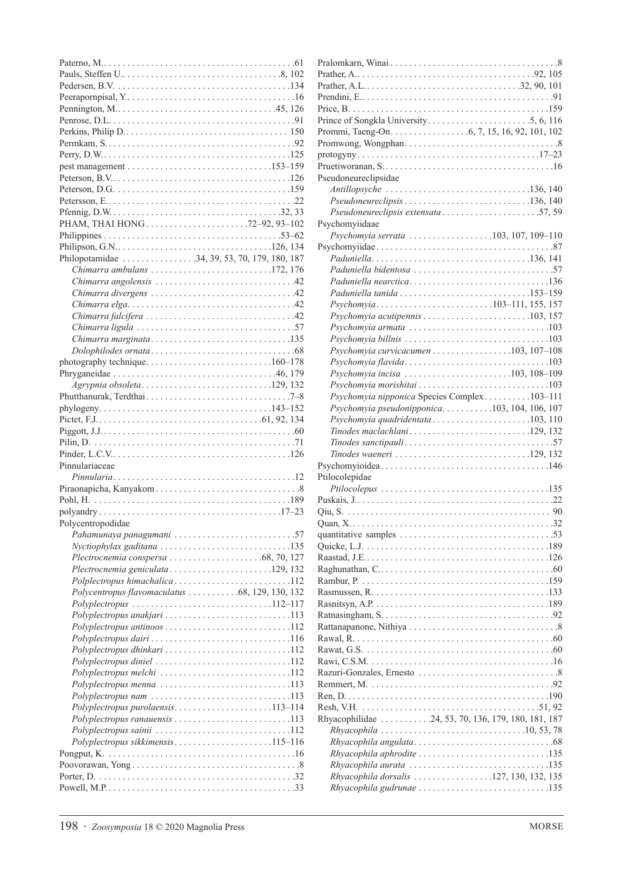| PHAM, THAI HONG72-92, 93-102                                                                 |
|----------------------------------------------------------------------------------------------|
|                                                                                              |
|                                                                                              |
| Philopotamidae 34, 39, 53, 70, 179, 180, 187                                                 |
| Chimarra ambulans $\ldots \ldots \ldots \ldots \ldots \ldots \ldots \ldots \ldots$ 172, 176  |
|                                                                                              |
|                                                                                              |
|                                                                                              |
|                                                                                              |
|                                                                                              |
| Chimarra marginata135                                                                        |
|                                                                                              |
| photography technique160–178                                                                 |
|                                                                                              |
| Agrypnia obsoleta129, 132                                                                    |
|                                                                                              |
|                                                                                              |
|                                                                                              |
|                                                                                              |
|                                                                                              |
| Pinnulariaceae                                                                               |
|                                                                                              |
|                                                                                              |
|                                                                                              |
|                                                                                              |
|                                                                                              |
| Polycentropodidae                                                                            |
| Pahamunaya panagumani 57                                                                     |
| $Nyctiophylax$ gaditana $\ldots \ldots \ldots \ldots \ldots \ldots \ldots \ldots \ldots 135$ |
|                                                                                              |
|                                                                                              |
| Polplectropus himachalica112                                                                 |
| Polycentropus flavomaculatus 68, 129, 130, 132                                               |
| $Polyplectropus \ldots \ldots \ldots \ldots \ldots \ldots \ldots \ldots \ldots 112-117$      |
| Polyplectropus anakjari 113                                                                  |
|                                                                                              |
|                                                                                              |
|                                                                                              |
| Polyplectropus diniel 112                                                                    |
|                                                                                              |
| Polyplectropus menna 113                                                                     |
| Polyplectropus nam 113                                                                       |
| Polyplectropus purolaensis113-114                                                            |
|                                                                                              |
| Polyplectropus sainii 112                                                                    |
| Polyplectropus sikkimensis115-116                                                            |
|                                                                                              |
|                                                                                              |

| Pseudoneureclipsidae                                                                         |  |
|----------------------------------------------------------------------------------------------|--|
|                                                                                              |  |
|                                                                                              |  |
| Pseudoneureclipsis extensata57,59                                                            |  |
| Psychomyiidaae                                                                               |  |
| Psychomyia serrata 103, 107, 109-110                                                         |  |
|                                                                                              |  |
|                                                                                              |  |
|                                                                                              |  |
|                                                                                              |  |
|                                                                                              |  |
|                                                                                              |  |
| Psychomyia103-111, 155, 157                                                                  |  |
|                                                                                              |  |
|                                                                                              |  |
|                                                                                              |  |
| Psychomyia curvicacumen 103, 107-108                                                         |  |
|                                                                                              |  |
| Psychomyia incisa $\ldots \ldots \ldots \ldots \ldots \ldots \ldots 103, 108-109$            |  |
|                                                                                              |  |
| Psychomyia nipponica Species Complex103-111                                                  |  |
| Psychomyia pseudonipponica103, 104, 106, 107                                                 |  |
| Psychomyia quadridentata103, 110                                                             |  |
|                                                                                              |  |
|                                                                                              |  |
| $T$ inodes waeneri $\ldots \ldots \ldots \ldots \ldots \ldots \ldots \ldots \ldots 129, 132$ |  |
|                                                                                              |  |
| Ptilocolepidae                                                                               |  |
|                                                                                              |  |
|                                                                                              |  |
|                                                                                              |  |
|                                                                                              |  |
|                                                                                              |  |
|                                                                                              |  |
|                                                                                              |  |
|                                                                                              |  |
|                                                                                              |  |
|                                                                                              |  |
|                                                                                              |  |
|                                                                                              |  |
|                                                                                              |  |
|                                                                                              |  |
|                                                                                              |  |
|                                                                                              |  |
|                                                                                              |  |
|                                                                                              |  |
|                                                                                              |  |
|                                                                                              |  |
|                                                                                              |  |
|                                                                                              |  |
| Rhyacophilidae 24, 53, 70, 136, 179, 180, 181, 187                                           |  |
|                                                                                              |  |
|                                                                                              |  |
| Rhyacophila aphrodite 135                                                                    |  |
|                                                                                              |  |
| Rhyacophila dorsalis 127, 130, 132, 135                                                      |  |
| Rhyacophila gudrunae 135                                                                     |  |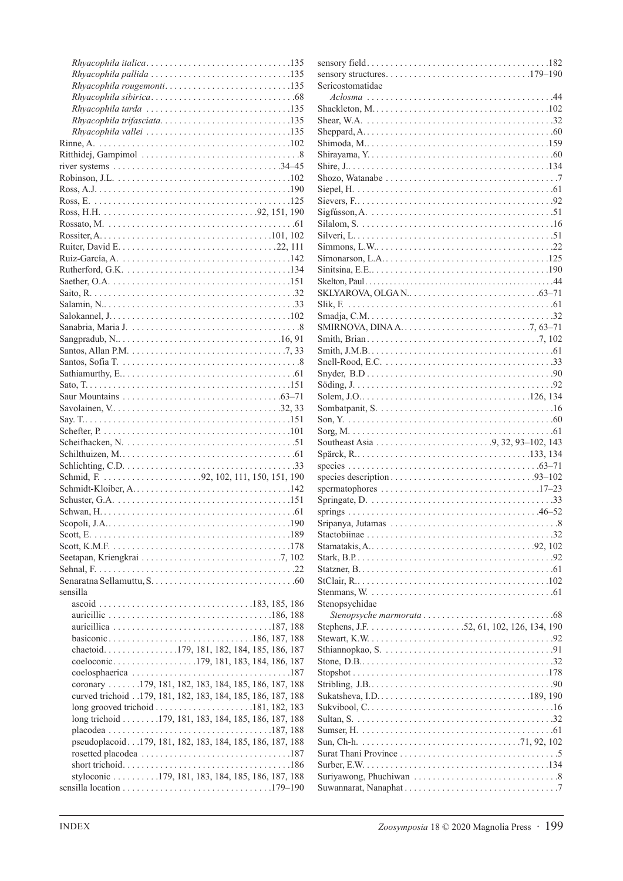| $Rhya cophila$ pallida $\ldots \ldots \ldots \ldots \ldots \ldots \ldots \ldots \ldots \ldots 135$ |  |
|----------------------------------------------------------------------------------------------------|--|
| Rhyacophila rougemonti135                                                                          |  |
|                                                                                                    |  |
|                                                                                                    |  |
| Rhyacophila trifasciata135                                                                         |  |
|                                                                                                    |  |
|                                                                                                    |  |
|                                                                                                    |  |
|                                                                                                    |  |
|                                                                                                    |  |
|                                                                                                    |  |
|                                                                                                    |  |
|                                                                                                    |  |
|                                                                                                    |  |
|                                                                                                    |  |
|                                                                                                    |  |
|                                                                                                    |  |
|                                                                                                    |  |
|                                                                                                    |  |
|                                                                                                    |  |
|                                                                                                    |  |
|                                                                                                    |  |
|                                                                                                    |  |
|                                                                                                    |  |
|                                                                                                    |  |
|                                                                                                    |  |
|                                                                                                    |  |
|                                                                                                    |  |
|                                                                                                    |  |
|                                                                                                    |  |
|                                                                                                    |  |
|                                                                                                    |  |
|                                                                                                    |  |
|                                                                                                    |  |
|                                                                                                    |  |
|                                                                                                    |  |
|                                                                                                    |  |
|                                                                                                    |  |
|                                                                                                    |  |
|                                                                                                    |  |
|                                                                                                    |  |
|                                                                                                    |  |
|                                                                                                    |  |
|                                                                                                    |  |
|                                                                                                    |  |
| sensilla                                                                                           |  |
|                                                                                                    |  |
|                                                                                                    |  |
|                                                                                                    |  |
|                                                                                                    |  |
|                                                                                                    |  |
| chaetoid. 179, 181, 182, 184, 185, 186, 187                                                        |  |
| coeloconic179, 181, 183, 184, 186, 187                                                             |  |
|                                                                                                    |  |
| coronary 179, 181, 182, 183, 184, 185, 186, 187, 188                                               |  |
| curved trichoid 179, 181, 182, 183, 184, 185, 186, 187, 188                                        |  |
| long grooved trichoid $\ldots \ldots \ldots \ldots \ldots \ldots 181, 182, 183$                    |  |
| long trichoid 179, 181, 183, 184, 185, 186, 187, 188                                               |  |
|                                                                                                    |  |
| pseudoplacoid179, 181, 182, 183, 184, 185, 186, 187, 188                                           |  |
|                                                                                                    |  |
|                                                                                                    |  |
| styloconic 179, 181, 183, 184, 185, 186, 187, 188                                                  |  |

| Sericostomatidae                                                                                           |
|------------------------------------------------------------------------------------------------------------|
|                                                                                                            |
|                                                                                                            |
|                                                                                                            |
|                                                                                                            |
|                                                                                                            |
|                                                                                                            |
|                                                                                                            |
|                                                                                                            |
|                                                                                                            |
|                                                                                                            |
|                                                                                                            |
|                                                                                                            |
|                                                                                                            |
|                                                                                                            |
|                                                                                                            |
|                                                                                                            |
|                                                                                                            |
|                                                                                                            |
| SMIRNOVA, DINA A. $\dots$ . $\dots$ . $\dots$ . $\dots$ . $\dots$ . $\dots$ . $7, 63-71$                   |
|                                                                                                            |
|                                                                                                            |
|                                                                                                            |
|                                                                                                            |
|                                                                                                            |
|                                                                                                            |
|                                                                                                            |
|                                                                                                            |
|                                                                                                            |
|                                                                                                            |
|                                                                                                            |
|                                                                                                            |
|                                                                                                            |
| spermatophores $\ldots \ldots \ldots \ldots \ldots \ldots \ldots \ldots \ldots \ldots \ldots \ldots 17-23$ |
|                                                                                                            |
|                                                                                                            |
|                                                                                                            |
|                                                                                                            |
|                                                                                                            |
|                                                                                                            |
|                                                                                                            |
|                                                                                                            |
| Stenopsychidae                                                                                             |
|                                                                                                            |
|                                                                                                            |
|                                                                                                            |
|                                                                                                            |
|                                                                                                            |
|                                                                                                            |
|                                                                                                            |
|                                                                                                            |
|                                                                                                            |
|                                                                                                            |
|                                                                                                            |
|                                                                                                            |
|                                                                                                            |